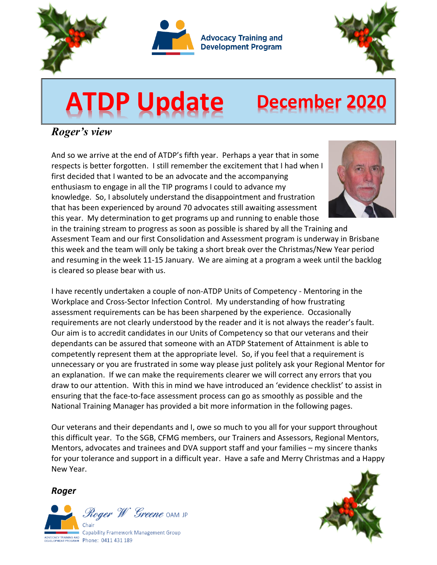



**Advocacy Training and Development Program** 



# **ATDP Update December <sup>2020</sup>**

## *Roger's view*

And so we arrive at the end of ATDP's fifth year. Perhaps a year that in some respects is better forgotten. I still remember the excitement that I had when I first decided that I wanted to be an advocate and the accompanying enthusiasm to engage in all the TIP programs I could to advance my knowledge. So, I absolutely understand the disappointment and frustration that has been experienced by around 70 advocates still awaiting assessment this year. My determination to get programs up and running to enable those



in the training stream to progress as soon as possible is shared by all the Training and Assesment Team and our first Consolidation and Assessment program is underway in Brisbane this week and the team will only be taking a short break over the Christmas/New Year period and resuming in the week 11-15 January. We are aiming at a program a week until the backlog is cleared so please bear with us.

I have recently undertaken a couple of non-ATDP Units of Competency - Mentoring in the Workplace and Cross-Sector Infection Control. My understanding of how frustrating assessment requirements can be has been sharpened by the experience. Occasionally requirements are not clearly understood by the reader and it is not always the reader's fault. Our aim is to accredit candidates in our Units of Competency so that our veterans and their dependants can be assured that someone with an ATDP Statement of Attainment is able to competently represent them at the appropriate level. So, if you feel that a requirement is unnecessary or you are frustrated in some way please just politely ask your Regional Mentor for an explanation. If we can make the requirements clearer we will correct any errors that you draw to our attention. With this in mind we have introduced an 'evidence checklist' to assist in ensuring that the face-to-face assessment process can go as smoothly as possible and the National Training Manager has provided a bit more information in the following pages.

Our veterans and their dependants and I, owe so much to you all for your support throughout this difficult year. To the SGB, CFMG members, our Trainers and Assessors, Regional Mentors, Mentors, advocates and trainees and DVA support staff and your families – my sincere thanks for your tolerance and support in a difficult year. Have a safe and Merry Christmas and a Happy New Year.

*Roger*



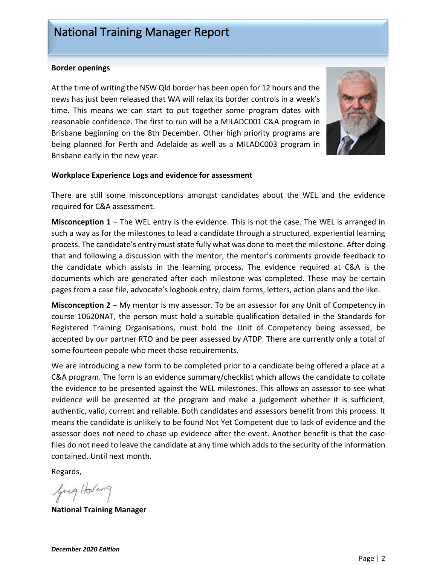## National Training Manager Report

#### **Border openings**

At the time of writing the NSW Qld border has been open for 12 hours and the news has just been released that WA will relax its border controls in a week's time. This means we can start to put together some program dates with reasonable confidence. The first to run will be a MILADC001 C&A program in Brisbane beginning on the 8th December. Other high priority programs are being planned for Perth and Adelaide as well as a MILADC003 program in Brisbane early in the new year.



#### **Workplace Experience Logs and evidence for assessment**

There are still some misconceptions amongst candidates about the WEL and the evidence required for C&A assessment.

**Misconception 1** – The WEL entry is the evidence. This is not the case. The WEL is arranged in such a way as for the milestones to lead a candidate through a structured, experiential learning process. The candidate's entry must state fully what was done to meet the milestone. After doing that and following a discussion with the mentor, the mentor's comments provide feedback to the candidate which assists in the learning process. The evidence required at C&A is the documents which are generated after each milestone was completed. These may be certain pages from a case file, advocate's logbook entry, claim forms, letters, action plans and the like.

**Misconception 2** – My mentor is my assessor. To be an assessor for any Unit of Competency in course 10620NAT, the person must hold a suitable qualification detailed in the Standards for Registered Training Organisations, must hold the Unit of Competency being assessed, be accepted by our partner RTO and be peer assessed by ATDP. There are currently only a total of some fourteen people who meet those requirements.

We are introducing a new form to be completed prior to a candidate being offered a place at a C&A program. The form is an evidence summary/checklist which allows the candidate to collate the evidence to be presented against the WEL milestones. This allows an assessor to see what evidence will be presented at the program and make a judgement whether it is sufficient, authentic, valid, current and reliable. Both candidates and assessors benefit from this process. It means the candidate is unlikely to be found Not Yet Competent due to lack of evidence and the assessor does not need to chase up evidence after the event. Another benefit is that the case files do not need to leave the candidate at any time which adds to the security of the information contained. Until next month.

Regards,

Greg Hoving

**National Training Manager**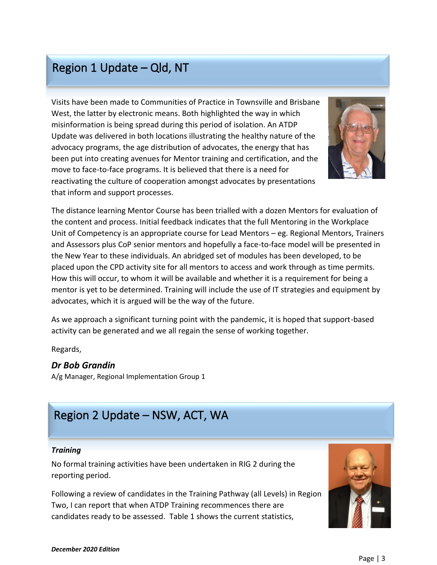## Region 1 Update – Qld, NT

Visits have been made to Communities of Practice in Townsville and Brisbane West, the latter by electronic means. Both highlighted the way in which misinformation is being spread during this period of isolation. An ATDP Update was delivered in both locations illustrating the healthy nature of the advocacy programs, the age distribution of advocates, the energy that has been put into creating avenues for Mentor training and certification, and the move to face-to-face programs. It is believed that there is a need for reactivating the culture of cooperation amongst advocates by presentations that inform and support processes.



The distance learning Mentor Course has been trialled with a dozen Mentors for evaluation of the content and process. Initial feedback indicates that the full Mentoring in the Workplace Unit of Competency is an appropriate course for Lead Mentors – eg. Regional Mentors, Trainers and Assessors plus CoP senior mentors and hopefully a face-to-face model will be presented in the New Year to these individuals. An abridged set of modules has been developed, to be placed upon the CPD activity site for all mentors to access and work through as time permits. How this will occur, to whom it will be available and whether it is a requirement for being a mentor is yet to be determined. Training will include the use of IT strategies and equipment by advocates, which it is argued will be the way of the future.

As we approach a significant turning point with the pandemic, it is hoped that support-based activity can be generated and we all regain the sense of working together.

Regards,

## *Dr Bob Grandin*

A/g Manager, Regional Implementation Group 1

## Region 2 Update – NSW, ACT, WA

#### *Training*

No formal training activities have been undertaken in RIG 2 during the reporting period.

Following a review of candidates in the Training Pathway (all Levels) in Region Two, I can report that when ATDP Training recommences there are candidates ready to be assessed. Table 1 shows the current statistics,

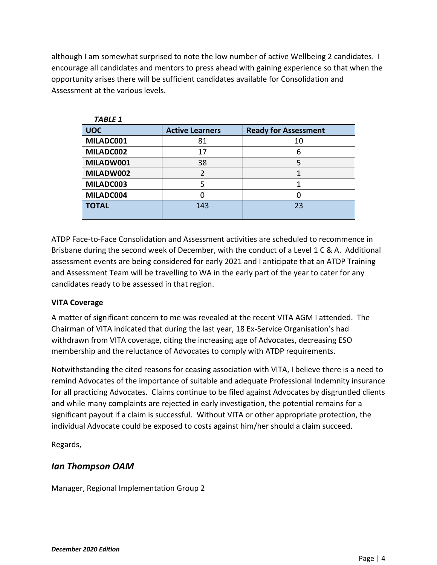although I am somewhat surprised to note the low number of active Wellbeing 2 candidates. I encourage all candidates and mentors to press ahead with gaining experience so that when the opportunity arises there will be sufficient candidates available for Consolidation and Assessment at the various levels.

| <b>TABLE 1</b> |                        |                             |
|----------------|------------------------|-----------------------------|
| <b>UOC</b>     | <b>Active Learners</b> | <b>Ready for Assessment</b> |
| MILADC001      | 81                     | 10                          |
| MILADC002      | 17                     | 6                           |
| MILADW001      | 38                     |                             |
| MILADW002      |                        |                             |
| MILADC003      |                        |                             |
| MILADC004      |                        |                             |
| <b>TOTAL</b>   | 143                    | 23                          |
|                |                        |                             |

ATDP Face-to-Face Consolidation and Assessment activities are scheduled to recommence in Brisbane during the second week of December, with the conduct of a Level 1 C & A. Additional assessment events are being considered for early 2021 and I anticipate that an ATDP Training and Assessment Team will be travelling to WA in the early part of the year to cater for any candidates ready to be assessed in that region.

## **VITA Coverage**

A matter of significant concern to me was revealed at the recent VITA AGM I attended. The Chairman of VITA indicated that during the last year, 18 Ex-Service Organisation's had withdrawn from VITA coverage, citing the increasing age of Advocates, decreasing ESO membership and the reluctance of Advocates to comply with ATDP requirements.

Notwithstanding the cited reasons for ceasing association with VITA, I believe there is a need to remind Advocates of the importance of suitable and adequate Professional Indemnity insurance for all practicing Advocates. Claims continue to be filed against Advocates by disgruntled clients and while many complaints are rejected in early investigation, the potential remains for a significant payout if a claim is successful. Without VITA or other appropriate protection, the individual Advocate could be exposed to costs against him/her should a claim succeed.

Regards,

## *Ian Thompson OAM*

Manager, Regional Implementation Group 2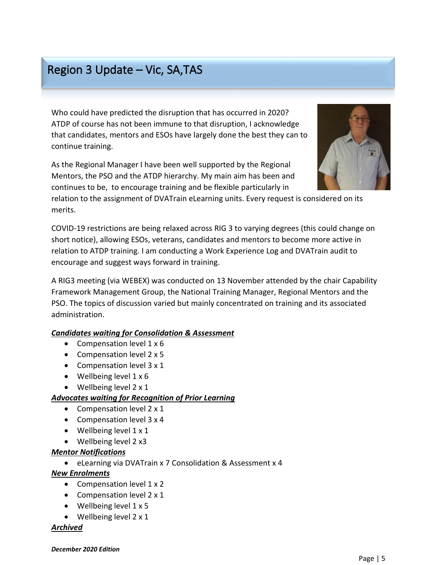# Region 3 Update – Vic, SA,TAS

Who could have predicted the disruption that has occurred in 2020? ATDP of course has not been immune to that disruption, I acknowledge that candidates, mentors and ESOs have largely done the best they can to continue training.

As the Regional Manager I have been well supported by the Regional Mentors, the PSO and the ATDP hierarchy. My main aim has been and continues to be, to encourage training and be flexible particularly in

relation to the assignment of DVATrain eLearning units. Every request is considered on its merits.

COVID-19 restrictions are being relaxed across RIG 3 to varying degrees (this could change on short notice), allowing ESOs, veterans, candidates and mentors to become more active in relation to ATDP training. I am conducting a Work Experience Log and DVATrain audit to encourage and suggest ways forward in training.

A RIG3 meeting (via WEBEX) was conducted on 13 November attended by the chair Capability Framework Management Group, the National Training Manager, Regional Mentors and the PSO. The topics of discussion varied but mainly concentrated on training and its associated administration.

## *Candidates waiting for Consolidation & Assessment*

- Compensation level 1 x 6
- Compensation level 2 x 5
- Compensation level 3 x 1
- Wellbeing level 1 x 6
- Wellbeing level 2 x 1

#### *Advocates waiting for Recognition of Prior Learning*

- Compensation level 2 x 1
- Compensation level 3 x 4
- Wellbeing level  $1 \times 1$
- Wellbeing level 2 x3

#### *Mentor Notifications*

• eLearning via DVATrain x 7 Consolidation & Assessment x 4

#### *New Enrolments*

- Compensation level 1 x 2
- Compensation level 2 x 1
- Wellbeing level  $1 \times 5$
- Wellbeing level 2 x 1

#### *Archived*



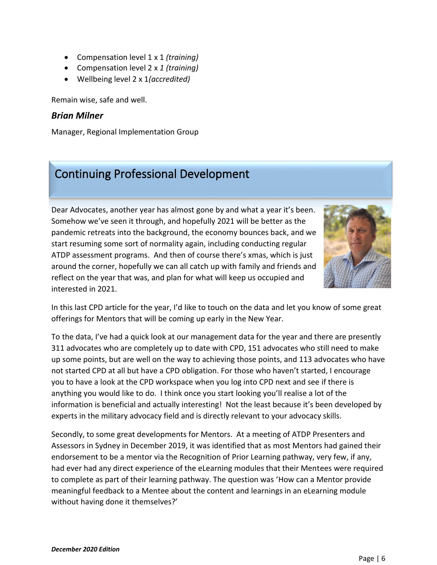- Compensation level 1 x 1 *(training)*
- Compensation level 2 x *1 (training)*
- Wellbeing level 2 x 1*(accredited)*

Remain wise, safe and well.

#### *Brian Milner*

Manager, Regional Implementation Group

# Continuing Professional Development

Dear Advocates, another year has almost gone by and what a year it's been. Somehow we've seen it through, and hopefully 2021 will be better as the pandemic retreats into the background, the economy bounces back, and we start resuming some sort of normality again, including conducting regular ATDP assessment programs. And then of course there's xmas, which is just around the corner, hopefully we can all catch up with family and friends and reflect on the year that was, and plan for what will keep us occupied and interested in 2021.



In this last CPD article for the year, I'd like to touch on the data and let you know of some great offerings for Mentors that will be coming up early in the New Year.

To the data, I've had a quick look at our management data for the year and there are presently 311 advocates who are completely up to date with CPD, 151 advocates who still need to make up some points, but are well on the way to achieving those points, and 113 advocates who have not started CPD at all but have a CPD obligation. For those who haven't started, I encourage you to have a look at the CPD workspace when you log into CPD next and see if there is anything you would like to do. I think once you start looking you'll realise a lot of the information is beneficial and actually interesting! Not the least because it's been developed by experts in the military advocacy field and is directly relevant to your advocacy skills.

Secondly, to some great developments for Mentors. At a meeting of ATDP Presenters and Assessors in Sydney in December 2019, it was identified that as most Mentors had gained their endorsement to be a mentor via the Recognition of Prior Learning pathway, very few, if any, had ever had any direct experience of the eLearning modules that their Mentees were required to complete as part of their learning pathway. The question was 'How can a Mentor provide meaningful feedback to a Mentee about the content and learnings in an eLearning module without having done it themselves?'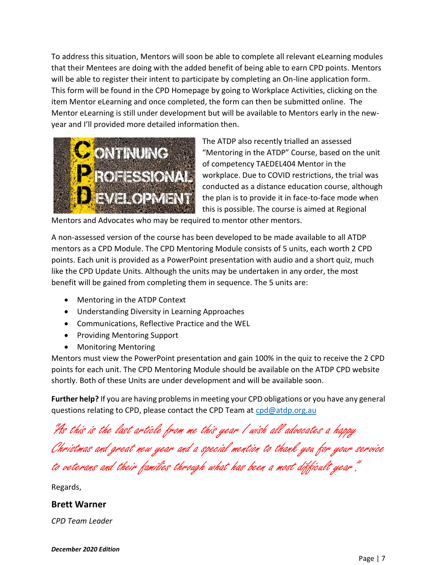To address this situation, Mentors will soon be able to complete all relevant eLearning modules that their Mentees are doing with the added benefit of being able to earn CPD points. Mentors will be able to register their intent to participate by completing an On-line application form. This form will be found in the CPD Homepage by going to Workplace Activities, clicking on the item Mentor eLearning and once completed, the form can then be submitted online. The Mentor eLearning is still under development but will be available to Mentors early in the newyear and I'll provided more detailed information then.



The ATDP also recently trialled an assessed "Mentoring in the ATDP" Course, based on the unit of competency TAEDEL404 Mentor in the workplace. Due to COVID restrictions, the trial was conducted as a distance education course, although the plan is to provide it in face-to-face mode when this is possible. The course is aimed at Regional

Mentors and Advocates who may be required to mentor other mentors.

A non-assessed version of the course has been developed to be made available to all ATDP mentors as a CPD Module. The CPD Mentoring Module consists of 5 units, each worth 2 CPD points. Each unit is provided as a PowerPoint presentation with audio and a short quiz, much like the CPD Update Units. Although the units may be undertaken in any order, the most benefit will be gained from completing them in sequence. The 5 units are:

- Mentoring in the ATDP Context
- Understanding Diversity in Learning Approaches
- Communications, Reflective Practice and the WEL
- Providing Mentoring Support
- Monitoring Mentoring

Mentors must view the PowerPoint presentation and gain 100% in the quiz to receive the 2 CPD points for each unit. The CPD Mentoring Module should be available on the ATDP CPD website shortly. Both of these Units are under development and will be available soon.

**Further help?** If you are having problems in meeting your CPD obligations or you have any general questions relating to CPD, please contact the CPD Team at [cpd@atdp.org.au](mailto:cpd@atdp.org.au)

"As this is the last article from me this year I wish all advocates a happy Christmas and great new year and a special mention to thank you for your service

to veterans <sup>a</sup>nd their families through what has been a most difficult year".

Regards,

#### **Brett Warner**

*CPD Team Leader*

*December 2020 Edition*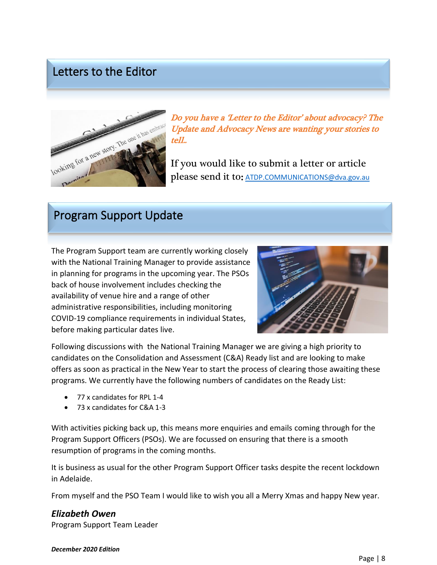## Letters to the Editor



Do you have a 'Letter to the Editor' about advocacy? The Update and Advocacy News are wanting your stories to tell..

If you would like to submit a letter or article please send it to: [ATDP.COMMUNICATIONS@dva.gov.au](mailto:ATDP.COMMUNICATIONS@dva.gov.au)

## Program Support Update

The Program Support team are currently working closely with the National Training Manager to provide assistance in planning for programs in the upcoming year. The PSOs back of house involvement includes checking the availability of venue hire and a range of other administrative responsibilities, including monitoring COVID-19 compliance requirements in individual States, before making particular dates live.



Following discussions with the National Training Manager we are giving a high priority to candidates on the Consolidation and Assessment (C&A) Ready list and are looking to make offers as soon as practical in the New Year to start the process of clearing those awaiting these programs. We currently have the following numbers of candidates on the Ready List:

- 77 x candidates for RPL 1-4
- 73 x candidates for C&A 1-3

With activities picking back up, this means more enquiries and emails coming through for the Program Support Officers (PSOs). We are focussed on ensuring that there is a smooth resumption of programs in the coming months.

It is business as usual for the other Program Support Officer tasks despite the recent lockdown in Adelaide.

From myself and the PSO Team I would like to wish you all a Merry Xmas and happy New year.

## *Elizabeth Owen*

Program Support Team Leader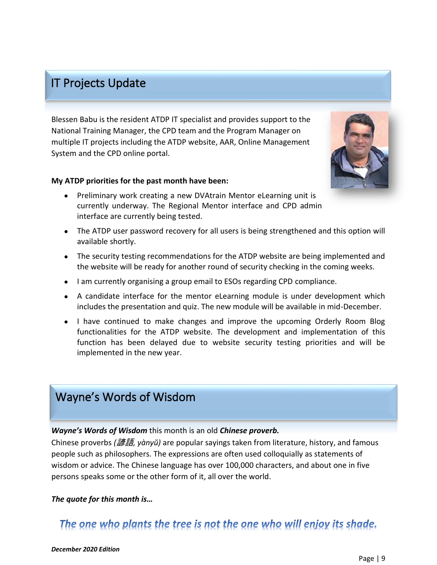## IT Projects Update

Blessen Babu is the resident ATDP IT specialist and provides support to the National Training Manager, the CPD team and the Program Manager on multiple IT projects including the ATDP website, AAR, Online Management System and the CPD online portal.

#### **My ATDP priorities for the past month have been:**



- Preliminary work creating a new DVAtrain Mentor eLearning unit is currently underway. The Regional Mentor interface and CPD admin interface are currently being tested.
- The ATDP user password recovery for all users is being strengthened and this option will available shortly.
- The security testing recommendations for the ATDP website are being implemented and the website will be ready for another round of security checking in the coming weeks.
- I am currently organising a group email to ESOs regarding CPD compliance.
- A candidate interface for the mentor eLearning module is under development which includes the presentation and quiz. The new module will be available in mid-December.
- I have continued to make changes and improve the upcoming Orderly Room Blog functionalities for the ATDP website. The development and implementation of this function has been delayed due to website security testing priorities and will be implemented in the new year.

## Wayne's Words of Wisdom

#### *Wayne's Words of Wisdom* this month is an old *Chinese proverb.*

Chinese proverbs *(*諺語*, yànyŭ)* are popular sayings taken from literature, history, and famous people such as philosophers. The expressions are often used colloquially as statements of wisdom or advice. The Chinese language has over 100,000 characters, and about one in five persons speaks some or the other form of it, all over the world.

#### *The quote for this month is…*

## The one who plants the tree is not the one who will enjoy its shade.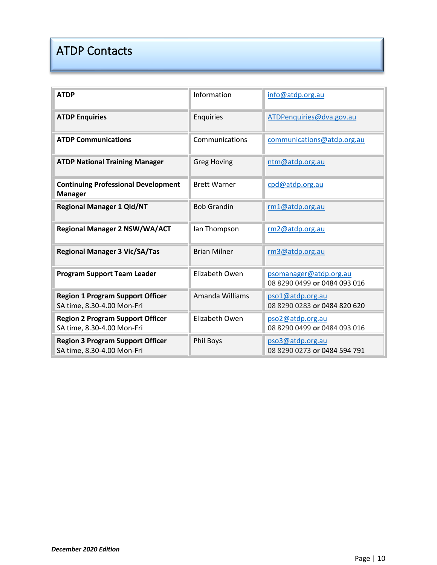# ATDP Contacts

| <b>ATDP</b>                                                           | Information         | info@atdp.org.au                                       |
|-----------------------------------------------------------------------|---------------------|--------------------------------------------------------|
| <b>ATDP Enquiries</b>                                                 | Enquiries           | ATDPenquiries@dva.gov.au                               |
| <b>ATDP Communications</b>                                            | Communications      | communications@atdp.org.au                             |
| <b>ATDP National Training Manager</b>                                 | <b>Greg Hoving</b>  | ntm@atdp.org.au                                        |
| <b>Continuing Professional Development</b><br><b>Manager</b>          | <b>Brett Warner</b> | cpd@atdp.org.au                                        |
| <b>Regional Manager 1 Qld/NT</b>                                      | <b>Bob Grandin</b>  | rm1@atdp.org.au                                        |
| <b>Regional Manager 2 NSW/WA/ACT</b>                                  | lan Thompson        | rm2@atdp.org.au                                        |
| <b>Regional Manager 3 Vic/SA/Tas</b>                                  | <b>Brian Milner</b> | rm3@atdp.org.au                                        |
| <b>Program Support Team Leader</b>                                    | Elizabeth Owen      | psomanager@atdp.org.au<br>08 8290 0499 or 0484 093 016 |
| <b>Region 1 Program Support Officer</b><br>SA time, 8.30-4.00 Mon-Fri | Amanda Williams     | pso1@atdp.org.au<br>08 8290 0283 or 0484 820 620       |
| <b>Region 2 Program Support Officer</b><br>SA time, 8.30-4.00 Mon-Fri | Elizabeth Owen      | pso2@atdp.org.au<br>08 8290 0499 or 0484 093 016       |
| <b>Region 3 Program Support Officer</b><br>SA time, 8.30-4.00 Mon-Fri | <b>Phil Boys</b>    | pso3@atdp.org.au<br>08 8290 0273 or 0484 594 791       |